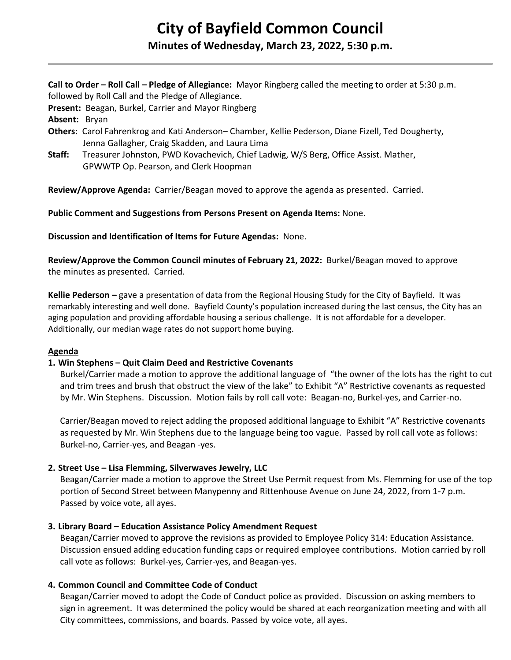# **City of Bayfield Common Council Minutes of Wednesday, March 23, 2022, 5:30 p.m.**

**Call to Order – Roll Call – Pledge of Allegiance:** Mayor Ringberg called the meeting to order at 5:30 p.m. followed by Roll Call and the Pledge of Allegiance.

**Present:** Beagan, Burkel, Carrier and Mayor Ringberg

**Absent:** Bryan

- **Others:** Carol Fahrenkrog and Kati Anderson– Chamber, Kellie Pederson, Diane Fizell, Ted Dougherty, Jenna Gallagher, Craig Skadden, and Laura Lima
- **Staff:** Treasurer Johnston, PWD Kovachevich, Chief Ladwig, W/S Berg, Office Assist. Mather, GPWWTP Op. Pearson, and Clerk Hoopman

**Review/Approve Agenda:** Carrier/Beagan moved to approve the agenda as presented. Carried.

**Public Comment and Suggestions from Persons Present on Agenda Items:** None.

**Discussion and Identification of Items for Future Agendas:** None.

**Review/Approve the Common Council minutes of February 21, 2022:** Burkel/Beagan moved to approve the minutes as presented. Carried.

**Kellie Pederson –** gave a presentation of data from the Regional Housing Study for the City of Bayfield. It was remarkably interesting and well done. Bayfield County's population increased during the last census, the City has an aging population and providing affordable housing a serious challenge. It is not affordable for a developer. Additionally, our median wage rates do not support home buying.

#### **Agenda**

## **1. Win Stephens – Quit Claim Deed and Restrictive Covenants**

Burkel/Carrier made a motion to approve the additional language of "the owner of the lots has the right to cut and trim trees and brush that obstruct the view of the lake" to Exhibit "A" Restrictive covenants as requested by Mr. Win Stephens. Discussion. Motion fails by roll call vote: Beagan-no, Burkel-yes, and Carrier-no.

Carrier/Beagan moved to reject adding the proposed additional language to Exhibit "A" Restrictive covenants as requested by Mr. Win Stephens due to the language being too vague. Passed by roll call vote as follows: Burkel-no, Carrier-yes, and Beagan -yes.

## **2. Street Use – Lisa Flemming, Silverwaves Jewelry, LLC**

Beagan/Carrier made a motion to approve the Street Use Permit request from Ms. Flemming for use of the top portion of Second Street between Manypenny and Rittenhouse Avenue on June 24, 2022, from 1-7 p.m. Passed by voice vote, all ayes.

## **3. Library Board – Education Assistance Policy Amendment Request**

Beagan/Carrier moved to approve the revisions as provided to Employee Policy 314: Education Assistance. Discussion ensued adding education funding caps or required employee contributions. Motion carried by roll call vote as follows: Burkel-yes, Carrier-yes, and Beagan-yes.

## **4. Common Council and Committee Code of Conduct**

Beagan/Carrier moved to adopt the Code of Conduct police as provided. Discussion on asking members to sign in agreement. It was determined the policy would be shared at each reorganization meeting and with all City committees, commissions, and boards. Passed by voice vote, all ayes.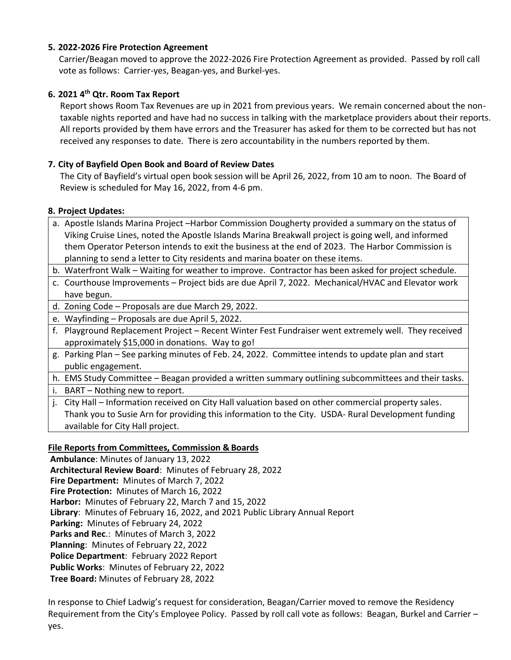# **5. 2022-2026 Fire Protection Agreement**

 Carrier/Beagan moved to approve the 2022-2026 Fire Protection Agreement as provided. Passed by roll call vote as follows: Carrier-yes, Beagan-yes, and Burkel-yes.

# **6. 2021 4th Qtr. Room Tax Report**

Report shows Room Tax Revenues are up in 2021 from previous years. We remain concerned about the nontaxable nights reported and have had no success in talking with the marketplace providers about their reports. All reports provided by them have errors and the Treasurer has asked for them to be corrected but has not received any responses to date. There is zero accountability in the numbers reported by them.

# **7. City of Bayfield Open Book and Board of Review Dates**

The City of Bayfield's virtual open book session will be April 26, 2022, from 10 am to noon. The Board of Review is scheduled for May 16, 2022, from 4-6 pm.

## **8. Project Updates:**

- a. Apostle Islands Marina Project –Harbor Commission Dougherty provided a summary on the status of Viking Cruise Lines, noted the Apostle Islands Marina Breakwall project is going well, and informed them Operator Peterson intends to exit the business at the end of 2023. The Harbor Commission is planning to send a letter to City residents and marina boater on these items.
- b. Waterfront Walk Waiting for weather to improve. Contractor has been asked for project schedule.
- c. Courthouse Improvements Project bids are due April 7, 2022. Mechanical/HVAC and Elevator work have begun.
- d. Zoning Code Proposals are due March 29, 2022.
- e. Wayfinding Proposals are due April 5, 2022.
- f. Playground Replacement Project Recent Winter Fest Fundraiser went extremely well. They received approximately \$15,000 in donations. Way to go!
- g. Parking Plan See parking minutes of Feb. 24, 2022. Committee intends to update plan and start public engagement.
- h. EMS Study Committee Beagan provided a written summary outlining subcommittees and their tasks.
- i. BART Nothing new to report.
- j. City Hall Information received on City Hall valuation based on other commercial property sales. Thank you to Susie Arn for providing this information to the City. USDA- Rural Development funding available for City Hall project.

# **File Reports from Committees, Commission & Boards**

**Ambulance**: Minutes of January 13, 2022 **Architectural Review Board**: Minutes of February 28, 2022 **Fire Department:** Minutes of March 7, 2022 **Fire Protection:** Minutes of March 16, 2022 **Harbor:** Minutes of February 22, March 7 and 15, 2022 **Library**: Minutes of February 16, 2022, and 2021 Public Library Annual Report **Parking:** Minutes of February 24, 2022 **Parks and Rec**.: Minutes of March 3, 2022 **Planning**: Minutes of February 22, 2022 **Police Department**: February 2022 Report **Public Works**: Minutes of February 22, 2022 **Tree Board:** Minutes of February 28, 2022

In response to Chief Ladwig's request for consideration, Beagan/Carrier moved to remove the Residency Requirement from the City's Employee Policy. Passed by roll call vote as follows: Beagan, Burkel and Carrier – yes.